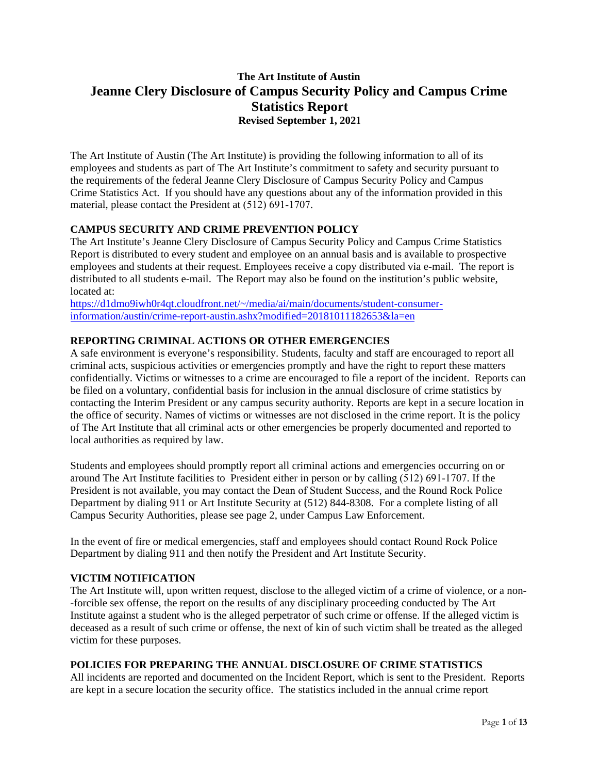# **The Art Institute of Austin Jeanne Clery Disclosure of Campus Security Policy and Campus Crime Statistics Report Revised September 1, 2021**

The Art Institute of Austin (The Art Institute) is providing the following information to all of its employees and students as part of The Art Institute's commitment to safety and security pursuant to the requirements of the federal Jeanne Clery Disclosure of Campus Security Policy and Campus Crime Statistics Act. If you should have any questions about any of the information provided in this material, please contact the President at (512) 691-1707.

### **CAMPUS SECURITY AND CRIME PREVENTION POLICY**

The Art Institute's Jeanne Clery Disclosure of Campus Security Policy and Campus Crime Statistics Report is distributed to every student and employee on an annual basis and is available to prospective employees and students at their request. Employees receive a copy distributed via e-mail. The report is distributed to all students e-mail. The Report may also be found on the institution's public website, located at:

https://d1dmo9iwh0r4qt.cloudfront.net/~/media/ai/main/documents/student-consumerinformation/austin/crime-report-austin.ashx?modified=20181011182653&la=en

## **REPORTING CRIMINAL ACTIONS OR OTHER EMERGENCIES**

A safe environment is everyone's responsibility. Students, faculty and staff are encouraged to report all criminal acts, suspicious activities or emergencies promptly and have the right to report these matters confidentially. Victims or witnesses to a crime are encouraged to file a report of the incident. Reports can be filed on a voluntary, confidential basis for inclusion in the annual disclosure of crime statistics by contacting the Interim President or any campus security authority. Reports are kept in a secure location in the office of security. Names of victims or witnesses are not disclosed in the crime report. It is the policy of The Art Institute that all criminal acts or other emergencies be properly documented and reported to local authorities as required by law.

Students and employees should promptly report all criminal actions and emergencies occurring on or around The Art Institute facilities to President either in person or by calling (512) 691-1707. If the President is not available, you may contact the Dean of Student Success, and the Round Rock Police Department by dialing 911 or Art Institute Security at (512) 844-8308. For a complete listing of all Campus Security Authorities, please see page 2, under Campus Law Enforcement.

In the event of fire or medical emergencies, staff and employees should contact Round Rock Police Department by dialing 911 and then notify the President and Art Institute Security.

### **VICTIM NOTIFICATION**

The Art Institute will, upon written request, disclose to the alleged victim of a crime of violence, or a non- -forcible sex offense, the report on the results of any disciplinary proceeding conducted by The Art Institute against a student who is the alleged perpetrator of such crime or offense. If the alleged victim is deceased as a result of such crime or offense, the next of kin of such victim shall be treated as the alleged victim for these purposes.

### **POLICIES FOR PREPARING THE ANNUAL DISCLOSURE OF CRIME STATISTICS**

All incidents are reported and documented on the Incident Report, which is sent to the President. Reports are kept in a secure location the security office. The statistics included in the annual crime report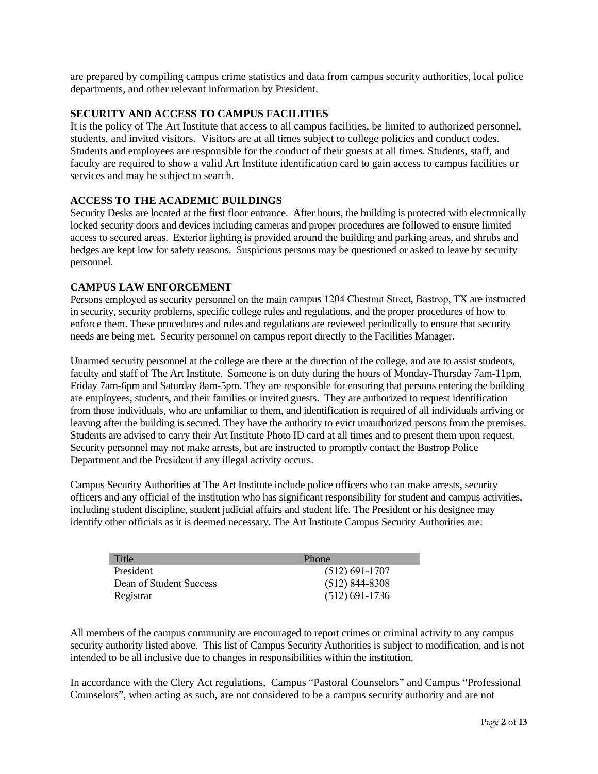are prepared by compiling campus crime statistics and data from campus security authorities, local police departments, and other relevant information by President.

#### **SECURITY AND ACCESS TO CAMPUS FACILITIES**

It is the policy of The Art Institute that access to all campus facilities, be limited to authorized personnel, students, and invited visitors. Visitors are at all times subject to college policies and conduct codes. Students and employees are responsible for the conduct of their guests at all times. Students, staff, and faculty are required to show a valid Art Institute identification card to gain access to campus facilities or services and may be subject to search.

#### **ACCESS TO THE ACADEMIC BUILDINGS**

Security Desks are located at the first floor entrance. After hours, the building is protected with electronically locked security doors and devices including cameras and proper procedures are followed to ensure limited access to secured areas. Exterior lighting is provided around the building and parking areas, and shrubs and hedges are kept low for safety reasons. Suspicious persons may be questioned or asked to leave by security personnel.

#### **CAMPUS LAW ENFORCEMENT**

Persons employed as security personnel on the main campus 1204 Chestnut Street, Bastrop, TX are instructed in security, security problems, specific college rules and regulations, and the proper procedures of how to enforce them. These procedures and rules and regulations are reviewed periodically to ensure that security needs are being met. Security personnel on campus report directly to the Facilities Manager.

Unarmed security personnel at the college are there at the direction of the college, and are to assist students, faculty and staff of The Art Institute. Someone is on duty during the hours of Monday-Thursday 7am-11pm, Friday 7am-6pm and Saturday 8am-5pm. They are responsible for ensuring that persons entering the building are employees, students, and their families or invited guests. They are authorized to request identification from those individuals, who are unfamiliar to them, and identification is required of all individuals arriving or leaving after the building is secured. They have the authority to evict unauthorized persons from the premises. Students are advised to carry their Art Institute Photo ID card at all times and to present them upon request. Security personnel may not make arrests, but are instructed to promptly contact the Bastrop Police Department and the President if any illegal activity occurs.

Campus Security Authorities at The Art Institute include police officers who can make arrests, security officers and any official of the institution who has significant responsibility for student and campus activities, including student discipline, student judicial affairs and student life. The President or his designee may identify other officials as it is deemed necessary. The Art Institute Campus Security Authorities are:

| Title                   | Phone              |
|-------------------------|--------------------|
| President               | $(512) 691 - 1707$ |
| Dean of Student Success | $(512)$ 844-8308   |
| Registrar               | $(512)$ 691-1736   |

All members of the campus community are encouraged to report crimes or criminal activity to any campus security authority listed above. This list of Campus Security Authorities is subject to modification, and is not intended to be all inclusive due to changes in responsibilities within the institution.

In accordance with the Clery Act regulations, Campus "Pastoral Counselors" and Campus "Professional Counselors", when acting as such, are not considered to be a campus security authority and are not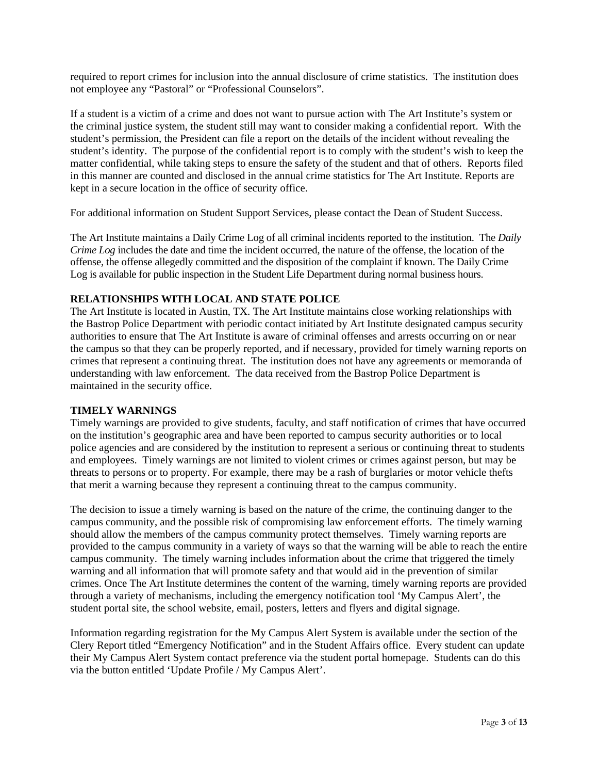required to report crimes for inclusion into the annual disclosure of crime statistics. The institution does not employee any "Pastoral" or "Professional Counselors".

If a student is a victim of a crime and does not want to pursue action with The Art Institute's system or the criminal justice system, the student still may want to consider making a confidential report. With the student's permission, the President can file a report on the details of the incident without revealing the student's identity. The purpose of the confidential report is to comply with the student's wish to keep the matter confidential, while taking steps to ensure the safety of the student and that of others. Reports filed in this manner are counted and disclosed in the annual crime statistics for The Art Institute. Reports are kept in a secure location in the office of security office.

For additional information on Student Support Services, please contact the Dean of Student Success.

The Art Institute maintains a Daily Crime Log of all criminal incidents reported to the institution. The *Daily Crime Log* includes the date and time the incident occurred, the nature of the offense, the location of the offense, the offense allegedly committed and the disposition of the complaint if known. The Daily Crime Log is available for public inspection in the Student Life Department during normal business hours.

#### **RELATIONSHIPS WITH LOCAL AND STATE POLICE**

The Art Institute is located in Austin, TX. The Art Institute maintains close working relationships with the Bastrop Police Department with periodic contact initiated by Art Institute designated campus security authorities to ensure that The Art Institute is aware of criminal offenses and arrests occurring on or near the campus so that they can be properly reported, and if necessary, provided for timely warning reports on crimes that represent a continuing threat. The institution does not have any agreements or memoranda of understanding with law enforcement. The data received from the Bastrop Police Department is maintained in the security office.

#### **TIMELY WARNINGS**

Timely warnings are provided to give students, faculty, and staff notification of crimes that have occurred on the institution's geographic area and have been reported to campus security authorities or to local police agencies and are considered by the institution to represent a serious or continuing threat to students and employees. Timely warnings are not limited to violent crimes or crimes against person, but may be threats to persons or to property. For example, there may be a rash of burglaries or motor vehicle thefts that merit a warning because they represent a continuing threat to the campus community.

The decision to issue a timely warning is based on the nature of the crime, the continuing danger to the campus community, and the possible risk of compromising law enforcement efforts. The timely warning should allow the members of the campus community protect themselves. Timely warning reports are provided to the campus community in a variety of ways so that the warning will be able to reach the entire campus community. The timely warning includes information about the crime that triggered the timely warning and all information that will promote safety and that would aid in the prevention of similar crimes. Once The Art Institute determines the content of the warning, timely warning reports are provided through a variety of mechanisms, including the emergency notification tool 'My Campus Alert', the student portal site, the school website, email, posters, letters and flyers and digital signage.

Information regarding registration for the My Campus Alert System is available under the section of the Clery Report titled "Emergency Notification" and in the Student Affairs office. Every student can update their My Campus Alert System contact preference via the student portal homepage. Students can do this via the button entitled 'Update Profile / My Campus Alert'.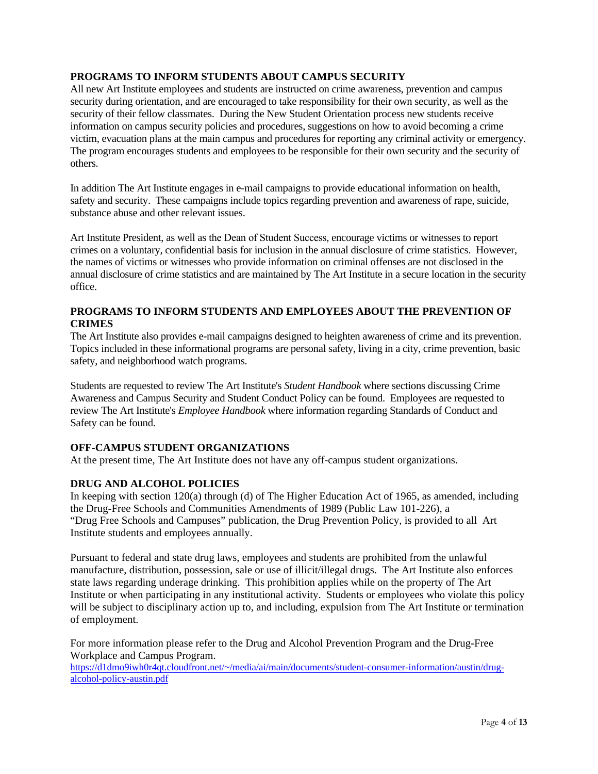## **PROGRAMS TO INFORM STUDENTS ABOUT CAMPUS SECURITY**

All new Art Institute employees and students are instructed on crime awareness, prevention and campus security during orientation, and are encouraged to take responsibility for their own security, as well as the security of their fellow classmates. During the New Student Orientation process new students receive information on campus security policies and procedures, suggestions on how to avoid becoming a crime victim, evacuation plans at the main campus and procedures for reporting any criminal activity or emergency. The program encourages students and employees to be responsible for their own security and the security of others.

In addition The Art Institute engages in e-mail campaigns to provide educational information on health, safety and security. These campaigns include topics regarding prevention and awareness of rape, suicide, substance abuse and other relevant issues.

Art Institute President, as well as the Dean of Student Success, encourage victims or witnesses to report crimes on a voluntary, confidential basis for inclusion in the annual disclosure of crime statistics. However, the names of victims or witnesses who provide information on criminal offenses are not disclosed in the annual disclosure of crime statistics and are maintained by The Art Institute in a secure location in the security office.

## **PROGRAMS TO INFORM STUDENTS AND EMPLOYEES ABOUT THE PREVENTION OF CRIMES**

The Art Institute also provides e-mail campaigns designed to heighten awareness of crime and its prevention. Topics included in these informational programs are personal safety, living in a city, crime prevention, basic safety, and neighborhood watch programs.

Students are requested to review The Art Institute's *Student Handbook* where sections discussing Crime Awareness and Campus Security and Student Conduct Policy can be found. Employees are requested to review The Art Institute's *Employee Handbook* where information regarding Standards of Conduct and Safety can be found.

### **OFF-CAMPUS STUDENT ORGANIZATIONS**

At the present time, The Art Institute does not have any off-campus student organizations.

### **DRUG AND ALCOHOL POLICIES**

In keeping with section 120(a) through (d) of The Higher Education Act of 1965, as amended, including the Drug-Free Schools and Communities Amendments of 1989 (Public Law 101-226), a "Drug Free Schools and Campuses" publication, the Drug Prevention Policy, is provided to all Art Institute students and employees annually.

Pursuant to federal and state drug laws, employees and students are prohibited from the unlawful manufacture, distribution, possession, sale or use of illicit/illegal drugs. The Art Institute also enforces state laws regarding underage drinking. This prohibition applies while on the property of The Art Institute or when participating in any institutional activity. Students or employees who violate this policy will be subject to disciplinary action up to, and including, expulsion from The Art Institute or termination of employment.

For more information please refer to the Drug and Alcohol Prevention Program and the Drug-Free Workplace and Campus Program.

https://d1dmo9iwh0r4qt.cloudfront.net/~/media/ai/main/documents/student-consumer-information/austin/drugalcohol-policy-austin.pdf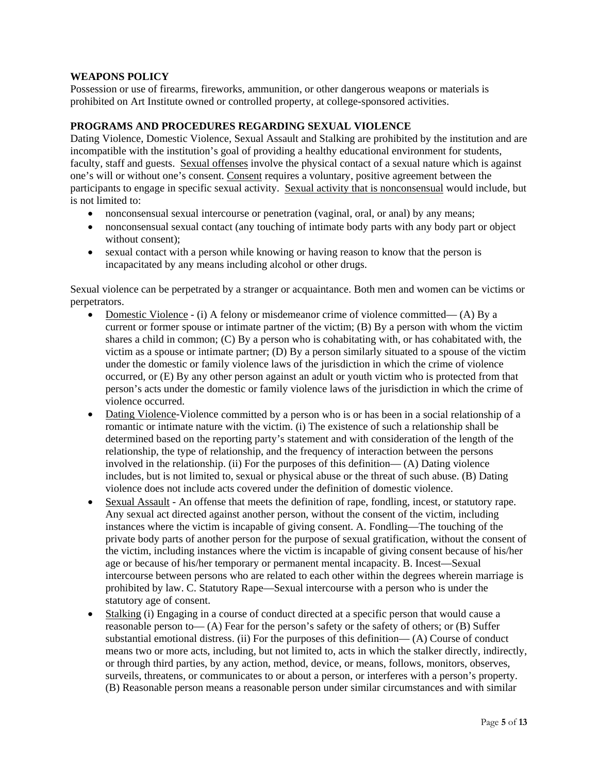### **WEAPONS POLICY**

Possession or use of firearms, fireworks, ammunition, or other dangerous weapons or materials is prohibited on Art Institute owned or controlled property, at college-sponsored activities.

#### **PROGRAMS AND PROCEDURES REGARDING SEXUAL VIOLENCE**

Dating Violence, Domestic Violence, Sexual Assault and Stalking are prohibited by the institution and are incompatible with the institution's goal of providing a healthy educational environment for students, faculty, staff and guests. Sexual offenses involve the physical contact of a sexual nature which is against one's will or without one's consent. Consent requires a voluntary, positive agreement between the participants to engage in specific sexual activity. Sexual activity that is nonconsensual would include, but is not limited to:

- nonconsensual sexual intercourse or penetration (vaginal, oral, or anal) by any means;
- nonconsensual sexual contact (any touching of intimate body parts with any body part or object without consent);
- sexual contact with a person while knowing or having reason to know that the person is incapacitated by any means including alcohol or other drugs.

Sexual violence can be perpetrated by a stranger or acquaintance. Both men and women can be victims or perpetrators.

- Domestic Violence (i) A felony or misdemeanor crime of violence committed— (A) By a current or former spouse or intimate partner of the victim; (B) By a person with whom the victim shares a child in common; (C) By a person who is cohabitating with, or has cohabitated with, the victim as a spouse or intimate partner; (D) By a person similarly situated to a spouse of the victim under the domestic or family violence laws of the jurisdiction in which the crime of violence occurred, or (E) By any other person against an adult or youth victim who is protected from that person's acts under the domestic or family violence laws of the jurisdiction in which the crime of violence occurred.
- Dating Violence-Violence committed by a person who is or has been in a social relationship of a romantic or intimate nature with the victim. (i) The existence of such a relationship shall be determined based on the reporting party's statement and with consideration of the length of the relationship, the type of relationship, and the frequency of interaction between the persons involved in the relationship. (ii) For the purposes of this definition— (A) Dating violence includes, but is not limited to, sexual or physical abuse or the threat of such abuse. (B) Dating violence does not include acts covered under the definition of domestic violence.
- Sexual Assault An offense that meets the definition of rape, fondling, incest, or statutory rape. Any sexual act directed against another person, without the consent of the victim, including instances where the victim is incapable of giving consent. A. Fondling—The touching of the private body parts of another person for the purpose of sexual gratification, without the consent of the victim, including instances where the victim is incapable of giving consent because of his/her age or because of his/her temporary or permanent mental incapacity. B. Incest—Sexual intercourse between persons who are related to each other within the degrees wherein marriage is prohibited by law. C. Statutory Rape—Sexual intercourse with a person who is under the statutory age of consent.
- Stalking (i) Engaging in a course of conduct directed at a specific person that would cause a reasonable person to— (A) Fear for the person's safety or the safety of others; or (B) Suffer substantial emotional distress. (ii) For the purposes of this definition— (A) Course of conduct means two or more acts, including, but not limited to, acts in which the stalker directly, indirectly, or through third parties, by any action, method, device, or means, follows, monitors, observes, surveils, threatens, or communicates to or about a person, or interferes with a person's property. (B) Reasonable person means a reasonable person under similar circumstances and with similar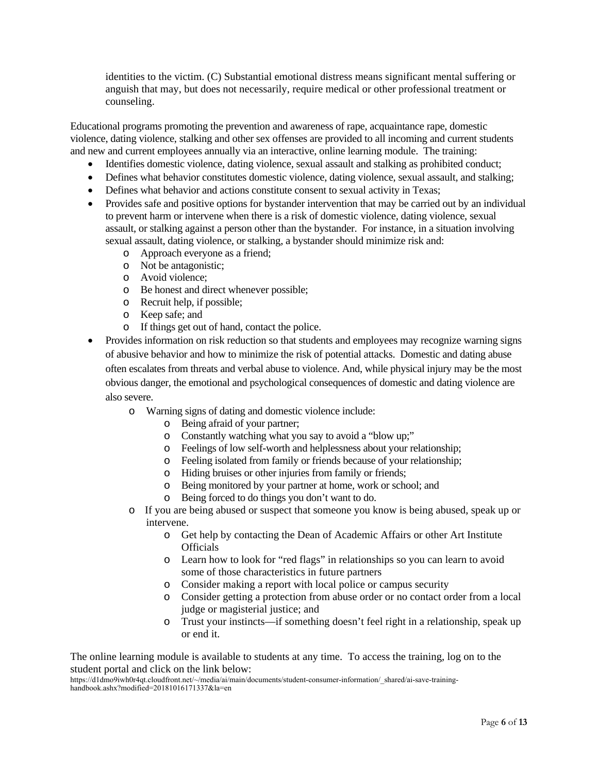identities to the victim. (C) Substantial emotional distress means significant mental suffering or anguish that may, but does not necessarily, require medical or other professional treatment or counseling.

Educational programs promoting the prevention and awareness of rape, acquaintance rape, domestic violence, dating violence, stalking and other sex offenses are provided to all incoming and current students and new and current employees annually via an interactive, online learning module. The training:

- Identifies domestic violence, dating violence, sexual assault and stalking as prohibited conduct;
- Defines what behavior constitutes domestic violence, dating violence, sexual assault, and stalking;
- Defines what behavior and actions constitute consent to sexual activity in Texas;
- Provides safe and positive options for bystander intervention that may be carried out by an individual to prevent harm or intervene when there is a risk of domestic violence, dating violence, sexual assault, or stalking against a person other than the bystander. For instance, in a situation involving sexual assault, dating violence, or stalking, a bystander should minimize risk and:
	- o Approach everyone as a friend;
	- o Not be antagonistic;
	- o Avoid violence;
	- o Be honest and direct whenever possible;
	- o Recruit help, if possible;
	- o Keep safe; and
	- o If things get out of hand, contact the police.
- Provides information on risk reduction so that students and employees may recognize warning signs of abusive behavior and how to minimize the risk of potential attacks. Domestic and dating abuse often escalates from threats and verbal abuse to violence. And, while physical injury may be the most obvious danger, the emotional and psychological consequences of domestic and dating violence are also severe.
	- o Warning signs of dating and domestic violence include:
		- o Being afraid of your partner;
		- o Constantly watching what you say to avoid a "blow up;"
		- o Feelings of low self-worth and helplessness about your relationship;
		- o Feeling isolated from family or friends because of your relationship;
		- o Hiding bruises or other injuries from family or friends;
		- o Being monitored by your partner at home, work or school; and
		- o Being forced to do things you don't want to do.
	- o If you are being abused or suspect that someone you know is being abused, speak up or intervene.
		- o Get help by contacting the Dean of Academic Affairs or other Art Institute **Officials**
		- o Learn how to look for "red flags" in relationships so you can learn to avoid some of those characteristics in future partners
		- o Consider making a report with local police or campus security
		- o Consider getting a protection from abuse order or no contact order from a local judge or magisterial justice; and
		- o Trust your instincts—if something doesn't feel right in a relationship, speak up or end it.

The online learning module is available to students at any time. To access the training, log on to the student portal and click on the link below:

https://d1dmo9iwh0r4qt.cloudfront.net/~/media/ai/main/documents/student-consumer-information/\_shared/ai-save-traininghandbook.ashx?modified=20181016171337&la=en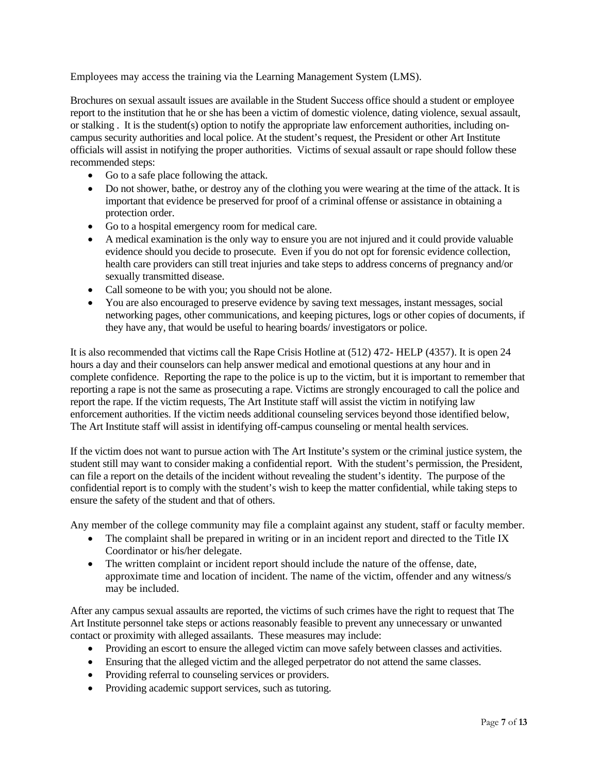Employees may access the training via the Learning Management System (LMS).

Brochures on sexual assault issues are available in the Student Success office should a student or employee report to the institution that he or she has been a victim of domestic violence, dating violence, sexual assault, or stalking . It is the student(s) option to notify the appropriate law enforcement authorities, including oncampus security authorities and local police. At the student's request, the President or other Art Institute officials will assist in notifying the proper authorities. Victims of sexual assault or rape should follow these recommended steps:

- Go to a safe place following the attack.
- Do not shower, bathe, or destroy any of the clothing you were wearing at the time of the attack. It is important that evidence be preserved for proof of a criminal offense or assistance in obtaining a protection order.
- Go to a hospital emergency room for medical care.
- A medical examination is the only way to ensure you are not injured and it could provide valuable evidence should you decide to prosecute. Even if you do not opt for forensic evidence collection, health care providers can still treat injuries and take steps to address concerns of pregnancy and/or sexually transmitted disease.
- Call someone to be with you; you should not be alone.
- You are also encouraged to preserve evidence by saving text messages, instant messages, social networking pages, other communications, and keeping pictures, logs or other copies of documents, if they have any, that would be useful to hearing boards/ investigators or police.

It is also recommended that victims call the Rape Crisis Hotline at (512) 472- HELP (4357). It is open 24 hours a day and their counselors can help answer medical and emotional questions at any hour and in complete confidence. Reporting the rape to the police is up to the victim, but it is important to remember that reporting a rape is not the same as prosecuting a rape. Victims are strongly encouraged to call the police and report the rape. If the victim requests, The Art Institute staff will assist the victim in notifying law enforcement authorities. If the victim needs additional counseling services beyond those identified below, The Art Institute staff will assist in identifying off-campus counseling or mental health services.

If the victim does not want to pursue action with The Art Institute's system or the criminal justice system, the student still may want to consider making a confidential report. With the student's permission, the President, can file a report on the details of the incident without revealing the student's identity. The purpose of the confidential report is to comply with the student's wish to keep the matter confidential, while taking steps to ensure the safety of the student and that of others.

Any member of the college community may file a complaint against any student, staff or faculty member.

- The complaint shall be prepared in writing or in an incident report and directed to the Title IX Coordinator or his/her delegate.
- The written complaint or incident report should include the nature of the offense, date, approximate time and location of incident. The name of the victim, offender and any witness/s may be included.

After any campus sexual assaults are reported, the victims of such crimes have the right to request that The Art Institute personnel take steps or actions reasonably feasible to prevent any unnecessary or unwanted contact or proximity with alleged assailants. These measures may include:

- Providing an escort to ensure the alleged victim can move safely between classes and activities.
- Ensuring that the alleged victim and the alleged perpetrator do not attend the same classes.
- Providing referral to counseling services or providers.
- Providing academic support services, such as tutoring.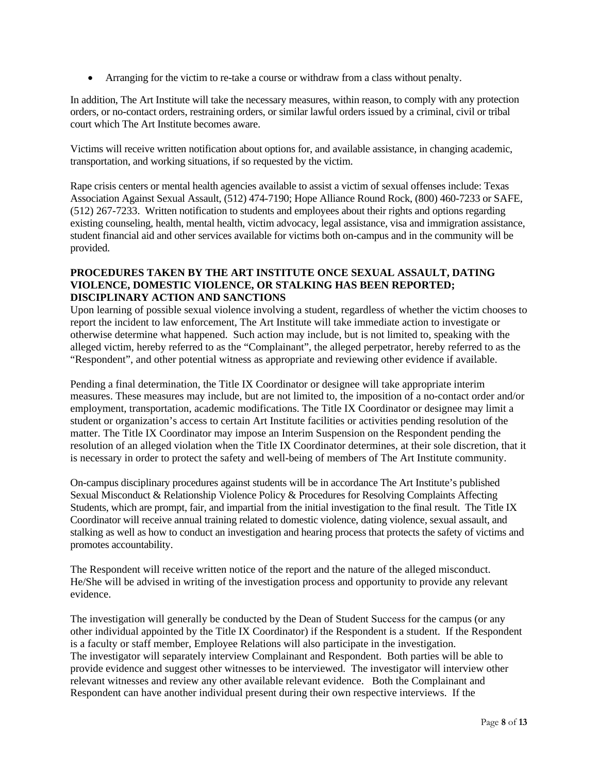Arranging for the victim to re-take a course or withdraw from a class without penalty.

In addition, The Art Institute will take the necessary measures, within reason, to comply with any protection orders, or no-contact orders, restraining orders, or similar lawful orders issued by a criminal, civil or tribal court which The Art Institute becomes aware.

Victims will receive written notification about options for, and available assistance, in changing academic, transportation, and working situations, if so requested by the victim.

Rape crisis centers or mental health agencies available to assist a victim of sexual offenses include: Texas Association Against Sexual Assault, (512) 474-7190; Hope Alliance Round Rock, (800) 460-7233 or SAFE, (512) 267-7233. Written notification to students and employees about their rights and options regarding existing counseling, health, mental health, victim advocacy, legal assistance, visa and immigration assistance, student financial aid and other services available for victims both on-campus and in the community will be provided.

### **PROCEDURES TAKEN BY THE ART INSTITUTE ONCE SEXUAL ASSAULT, DATING VIOLENCE, DOMESTIC VIOLENCE, OR STALKING HAS BEEN REPORTED; DISCIPLINARY ACTION AND SANCTIONS**

Upon learning of possible sexual violence involving a student, regardless of whether the victim chooses to report the incident to law enforcement, The Art Institute will take immediate action to investigate or otherwise determine what happened. Such action may include, but is not limited to, speaking with the alleged victim, hereby referred to as the "Complainant", the alleged perpetrator, hereby referred to as the "Respondent", and other potential witness as appropriate and reviewing other evidence if available.

Pending a final determination, the Title IX Coordinator or designee will take appropriate interim measures. These measures may include, but are not limited to, the imposition of a no-contact order and/or employment, transportation, academic modifications. The Title IX Coordinator or designee may limit a student or organization's access to certain Art Institute facilities or activities pending resolution of the matter. The Title IX Coordinator may impose an Interim Suspension on the Respondent pending the resolution of an alleged violation when the Title IX Coordinator determines, at their sole discretion, that it is necessary in order to protect the safety and well-being of members of The Art Institute community.

On-campus disciplinary procedures against students will be in accordance The Art Institute's published Sexual Misconduct & Relationship Violence Policy & Procedures for Resolving Complaints Affecting Students, which are prompt, fair, and impartial from the initial investigation to the final result. The Title IX Coordinator will receive annual training related to domestic violence, dating violence, sexual assault, and stalking as well as how to conduct an investigation and hearing process that protects the safety of victims and promotes accountability.

The Respondent will receive written notice of the report and the nature of the alleged misconduct. He/She will be advised in writing of the investigation process and opportunity to provide any relevant evidence.

The investigation will generally be conducted by the Dean of Student Success for the campus (or any other individual appointed by the Title IX Coordinator) if the Respondent is a student. If the Respondent is a faculty or staff member, Employee Relations will also participate in the investigation. The investigator will separately interview Complainant and Respondent. Both parties will be able to provide evidence and suggest other witnesses to be interviewed. The investigator will interview other relevant witnesses and review any other available relevant evidence. Both the Complainant and Respondent can have another individual present during their own respective interviews. If the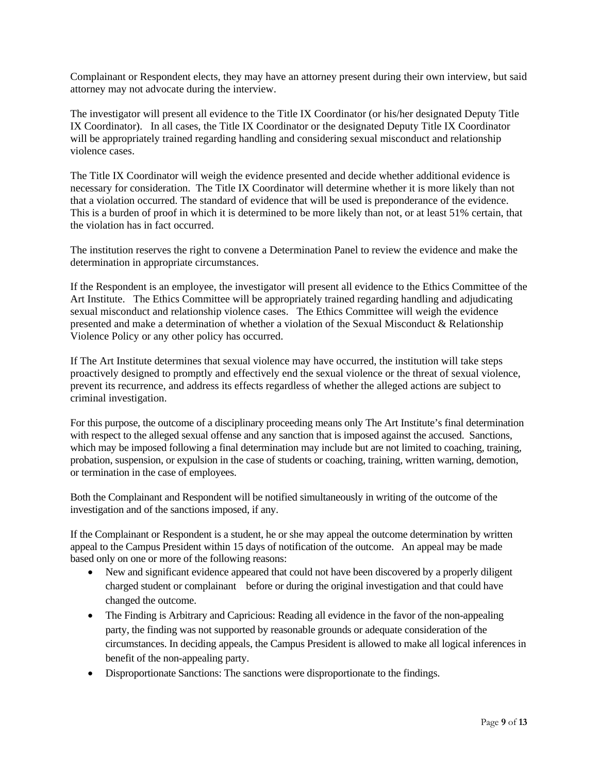Complainant or Respondent elects, they may have an attorney present during their own interview, but said attorney may not advocate during the interview.

The investigator will present all evidence to the Title IX Coordinator (or his/her designated Deputy Title IX Coordinator). In all cases, the Title IX Coordinator or the designated Deputy Title IX Coordinator will be appropriately trained regarding handling and considering sexual misconduct and relationship violence cases.

The Title IX Coordinator will weigh the evidence presented and decide whether additional evidence is necessary for consideration. The Title IX Coordinator will determine whether it is more likely than not that a violation occurred. The standard of evidence that will be used is preponderance of the evidence. This is a burden of proof in which it is determined to be more likely than not, or at least 51% certain, that the violation has in fact occurred.

The institution reserves the right to convene a Determination Panel to review the evidence and make the determination in appropriate circumstances.

If the Respondent is an employee, the investigator will present all evidence to the Ethics Committee of the Art Institute. The Ethics Committee will be appropriately trained regarding handling and adjudicating sexual misconduct and relationship violence cases. The Ethics Committee will weigh the evidence presented and make a determination of whether a violation of the Sexual Misconduct & Relationship Violence Policy or any other policy has occurred.

If The Art Institute determines that sexual violence may have occurred, the institution will take steps proactively designed to promptly and effectively end the sexual violence or the threat of sexual violence, prevent its recurrence, and address its effects regardless of whether the alleged actions are subject to criminal investigation.

For this purpose, the outcome of a disciplinary proceeding means only The Art Institute's final determination with respect to the alleged sexual offense and any sanction that is imposed against the accused. Sanctions, which may be imposed following a final determination may include but are not limited to coaching, training, probation, suspension, or expulsion in the case of students or coaching, training, written warning, demotion, or termination in the case of employees.

Both the Complainant and Respondent will be notified simultaneously in writing of the outcome of the investigation and of the sanctions imposed, if any.

If the Complainant or Respondent is a student, he or she may appeal the outcome determination by written appeal to the Campus President within 15 days of notification of the outcome. An appeal may be made based only on one or more of the following reasons:

- New and significant evidence appeared that could not have been discovered by a properly diligent charged student or complainant before or during the original investigation and that could have changed the outcome.
- The Finding is Arbitrary and Capricious: Reading all evidence in the favor of the non-appealing party, the finding was not supported by reasonable grounds or adequate consideration of the circumstances. In deciding appeals, the Campus President is allowed to make all logical inferences in benefit of the non-appealing party.
- Disproportionate Sanctions: The sanctions were disproportionate to the findings.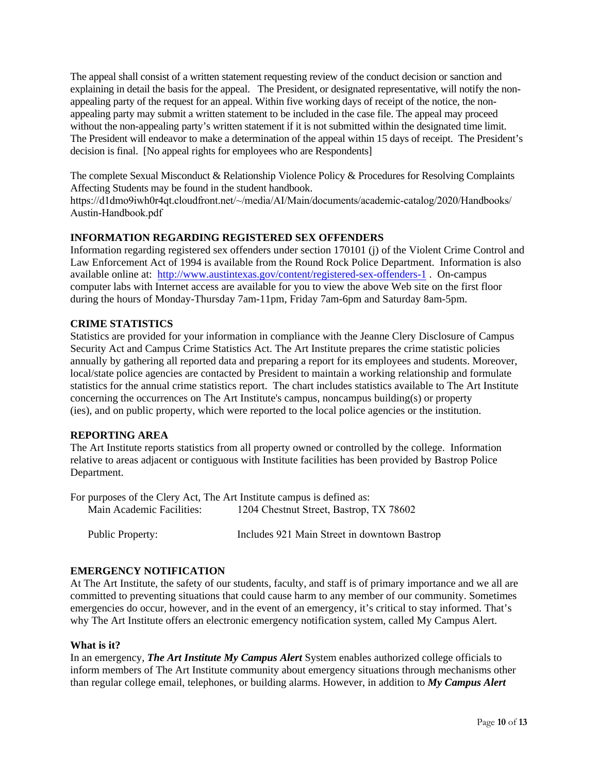The appeal shall consist of a written statement requesting review of the conduct decision or sanction and explaining in detail the basis for the appeal. The President, or designated representative, will notify the nonappealing party of the request for an appeal. Within five working days of receipt of the notice, the nonappealing party may submit a written statement to be included in the case file. The appeal may proceed without the non-appealing party's written statement if it is not submitted within the designated time limit. The President will endeavor to make a determination of the appeal within 15 days of receipt. The President's decision is final. [No appeal rights for employees who are Respondents]

The complete Sexual Misconduct & Relationship Violence Policy & Procedures for Resolving Complaints Affecting Students may be found in the student handbook.

https://d1dmo9iwh0r4qt.cloudfront.net/~/media/AI/Main/documents/academic-catalog/2020/Handbooks/ Austin-Handbook.pdf

### **INFORMATION REGARDING REGISTERED SEX OFFENDERS**

Information regarding registered sex offenders under section 170101 (j) of the Violent Crime Control and Law Enforcement Act of 1994 is available from the Round Rock Police Department. Information is also available online at: http://www.austintexas.gov/content/registered-sex-offenders-1 . On-campus computer labs with Internet access are available for you to view the above Web site on the first floor during the hours of Monday-Thursday 7am-11pm, Friday 7am-6pm and Saturday 8am-5pm.

#### **CRIME STATISTICS**

Statistics are provided for your information in compliance with the Jeanne Clery Disclosure of Campus Security Act and Campus Crime Statistics Act. The Art Institute prepares the crime statistic policies annually by gathering all reported data and preparing a report for its employees and students. Moreover, local/state police agencies are contacted by President to maintain a working relationship and formulate statistics for the annual crime statistics report. The chart includes statistics available to The Art Institute concerning the occurrences on The Art Institute's campus, noncampus building(s) or property (ies), and on public property, which were reported to the local police agencies or the institution.

#### **REPORTING AREA**

The Art Institute reports statistics from all property owned or controlled by the college. Information relative to areas adjacent or contiguous with Institute facilities has been provided by Bastrop Police Department.

For purposes of the Clery Act, The Art Institute campus is defined as: Main Academic Facilities: 1204 Chestnut Street, Bastrop, TX 78602

Public Property: Includes 921 Main Street in downtown Bastrop

#### **EMERGENCY NOTIFICATION**

At The Art Institute, the safety of our students, faculty, and staff is of primary importance and we all are committed to preventing situations that could cause harm to any member of our community. Sometimes emergencies do occur, however, and in the event of an emergency, it's critical to stay informed. That's why The Art Institute offers an electronic emergency notification system, called My Campus Alert.

#### **What is it?**

In an emergency, *The Art Institute My Campus Alert* System enables authorized college officials to inform members of The Art Institute community about emergency situations through mechanisms other than regular college email, telephones, or building alarms. However, in addition to *My Campus Alert*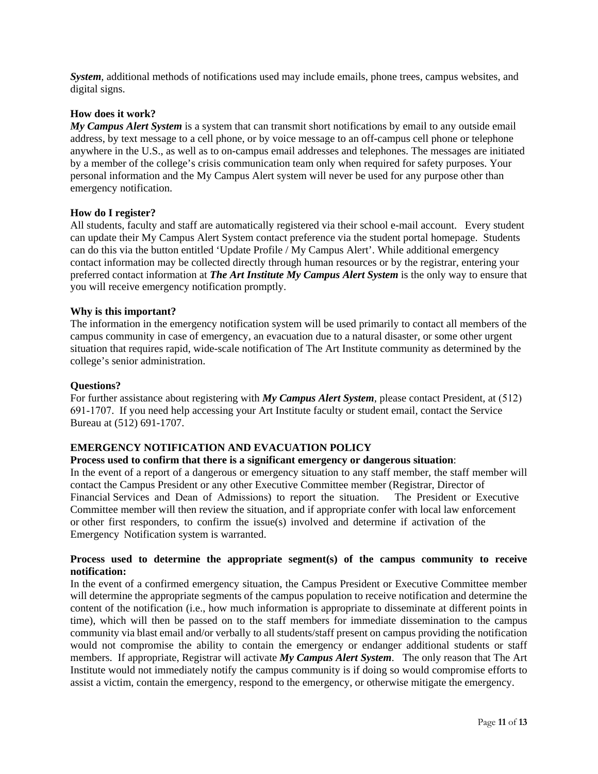*System*, additional methods of notifications used may include emails, phone trees, campus websites, and digital signs.

#### **How does it work?**

*My Campus Alert System* is a system that can transmit short notifications by email to any outside email address, by text message to a cell phone, or by voice message to an off-campus cell phone or telephone anywhere in the U.S., as well as to on-campus email addresses and telephones. The messages are initiated by a member of the college's crisis communication team only when required for safety purposes. Your personal information and the My Campus Alert system will never be used for any purpose other than emergency notification.

#### **How do I register?**

All students, faculty and staff are automatically registered via their school e-mail account. Every student can update their My Campus Alert System contact preference via the student portal homepage. Students can do this via the button entitled 'Update Profile / My Campus Alert'. While additional emergency contact information may be collected directly through human resources or by the registrar, entering your preferred contact information at *The Art Institute My Campus Alert System* is the only way to ensure that you will receive emergency notification promptly.

#### **Why is this important?**

The information in the emergency notification system will be used primarily to contact all members of the campus community in case of emergency, an evacuation due to a natural disaster, or some other urgent situation that requires rapid, wide-scale notification of The Art Institute community as determined by the college's senior administration.

#### **Questions?**

For further assistance about registering with *My Campus Alert System*, please contact President, at (512) 691-1707. If you need help accessing your Art Institute faculty or student email, contact the Service Bureau at (512) 691-1707.

### **EMERGENCY NOTIFICATION AND EVACUATION POLICY**

#### **Process used to confirm that there is a significant emergency or dangerous situation**:

In the event of a report of a dangerous or emergency situation to any staff member, the staff member will contact the Campus President or any other Executive Committee member (Registrar, Director of Financial Services and Dean of Admissions) to report the situation. The President or Executive Committee member will then review the situation, and if appropriate confer with local law enforcement or other first responders, to confirm the issue(s) involved and determine if activation of the Emergency Notification system is warranted.

#### **Process used to determine the appropriate segment(s) of the campus community to receive notification:**

In the event of a confirmed emergency situation, the Campus President or Executive Committee member will determine the appropriate segments of the campus population to receive notification and determine the content of the notification (i.e., how much information is appropriate to disseminate at different points in time), which will then be passed on to the staff members for immediate dissemination to the campus community via blast email and/or verbally to all students/staff present on campus providing the notification would not compromise the ability to contain the emergency or endanger additional students or staff members. If appropriate, Registrar will activate *My Campus Alert System*. The only reason that The Art Institute would not immediately notify the campus community is if doing so would compromise efforts to assist a victim, contain the emergency, respond to the emergency, or otherwise mitigate the emergency.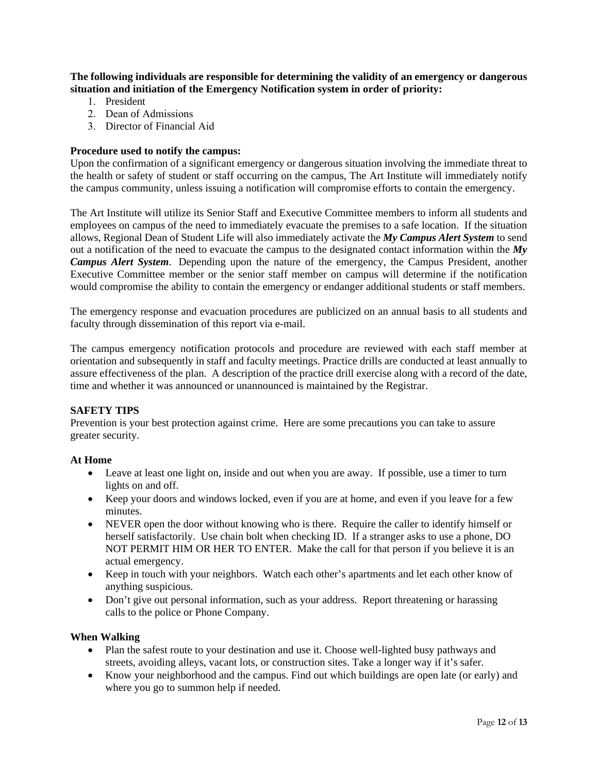**The following individuals are responsible for determining the validity of an emergency or dangerous situation and initiation of the Emergency Notification system in order of priority:** 

- 1. President
- 2. Dean of Admissions
- 3. Director of Financial Aid

#### **Procedure used to notify the campus:**

Upon the confirmation of a significant emergency or dangerous situation involving the immediate threat to the health or safety of student or staff occurring on the campus, The Art Institute will immediately notify the campus community, unless issuing a notification will compromise efforts to contain the emergency.

The Art Institute will utilize its Senior Staff and Executive Committee members to inform all students and employees on campus of the need to immediately evacuate the premises to a safe location. If the situation allows, Regional Dean of Student Life will also immediately activate the *My Campus Alert System* to send out a notification of the need to evacuate the campus to the designated contact information within the *My Campus Alert System*. Depending upon the nature of the emergency, the Campus President, another Executive Committee member or the senior staff member on campus will determine if the notification would compromise the ability to contain the emergency or endanger additional students or staff members.

The emergency response and evacuation procedures are publicized on an annual basis to all students and faculty through dissemination of this report via e-mail.

The campus emergency notification protocols and procedure are reviewed with each staff member at orientation and subsequently in staff and faculty meetings. Practice drills are conducted at least annually to assure effectiveness of the plan. A description of the practice drill exercise along with a record of the date, time and whether it was announced or unannounced is maintained by the Registrar.

#### **SAFETY TIPS**

Prevention is your best protection against crime. Here are some precautions you can take to assure greater security.

#### **At Home**

- Leave at least one light on, inside and out when you are away. If possible, use a timer to turn lights on and off.
- Keep your doors and windows locked, even if you are at home, and even if you leave for a few minutes.
- NEVER open the door without knowing who is there. Require the caller to identify himself or herself satisfactorily. Use chain bolt when checking ID. If a stranger asks to use a phone, DO NOT PERMIT HIM OR HER TO ENTER. Make the call for that person if you believe it is an actual emergency.
- Keep in touch with your neighbors. Watch each other's apartments and let each other know of anything suspicious.
- Don't give out personal information, such as your address. Report threatening or harassing calls to the police or Phone Company.

#### **When Walking**

- Plan the safest route to your destination and use it. Choose well-lighted busy pathways and streets, avoiding alleys, vacant lots, or construction sites. Take a longer way if it's safer.
- Know your neighborhood and the campus. Find out which buildings are open late (or early) and where you go to summon help if needed.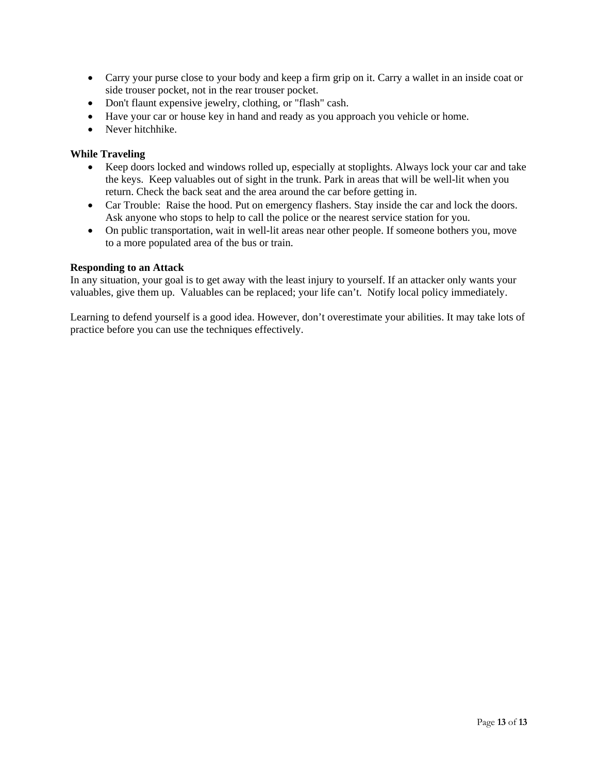- Carry your purse close to your body and keep a firm grip on it. Carry a wallet in an inside coat or side trouser pocket, not in the rear trouser pocket.
- Don't flaunt expensive jewelry, clothing, or "flash" cash.
- Have your car or house key in hand and ready as you approach you vehicle or home.
- Never hitchhike.

#### **While Traveling**

- Keep doors locked and windows rolled up, especially at stoplights. Always lock your car and take the keys. Keep valuables out of sight in the trunk. Park in areas that will be well-lit when you return. Check the back seat and the area around the car before getting in.
- Car Trouble: Raise the hood. Put on emergency flashers. Stay inside the car and lock the doors. Ask anyone who stops to help to call the police or the nearest service station for you.
- On public transportation, wait in well-lit areas near other people. If someone bothers you, move to a more populated area of the bus or train.

#### **Responding to an Attack**

In any situation, your goal is to get away with the least injury to yourself. If an attacker only wants your valuables, give them up. Valuables can be replaced; your life can't. Notify local policy immediately.

Learning to defend yourself is a good idea. However, don't overestimate your abilities. It may take lots of practice before you can use the techniques effectively.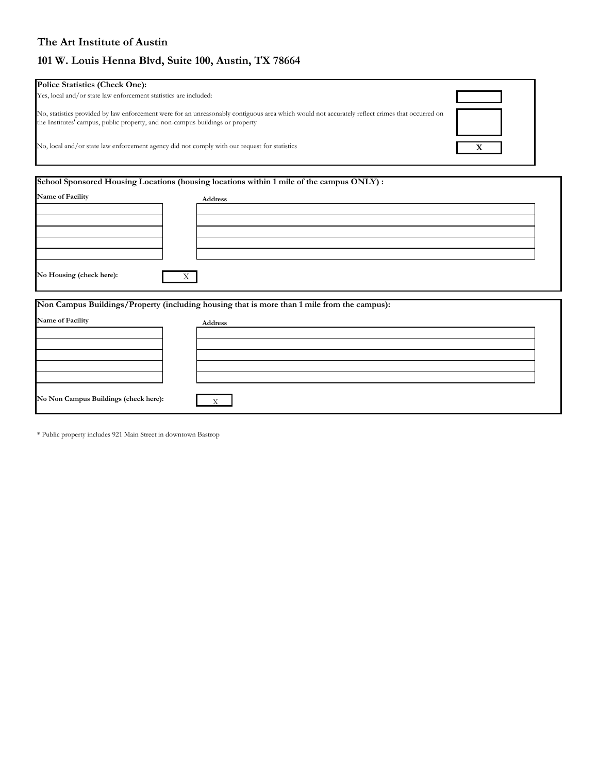## **The Art Institute of Austin**

# **101 W. Louis Henna Blvd, Suite 100, Austin, TX 78664**

| <b>Police Statistics (Check One):</b>                                                                                                                                                                                           |  |
|---------------------------------------------------------------------------------------------------------------------------------------------------------------------------------------------------------------------------------|--|
| Yes, local and/or state law enforcement statistics are included:                                                                                                                                                                |  |
| No, statistics provided by law enforcement were for an unreasonably contiguous area which would not accurately reflect crimes that occurred on<br>the Institutes' campus, public property, and non-campus buildings or property |  |
| No, local and/or state law enforcement agency did not comply with our request for statistics                                                                                                                                    |  |

| Name of Facility         | Address                                                                                     |  |
|--------------------------|---------------------------------------------------------------------------------------------|--|
|                          |                                                                                             |  |
| No Housing (check here): | X                                                                                           |  |
|                          |                                                                                             |  |
|                          | Non Campus Buildings/Property (including housing that is more than 1 mile from the campus): |  |
|                          | Address                                                                                     |  |
| Name of Facility         |                                                                                             |  |

\* Public property includes 921 Main Street in downtown Bastrop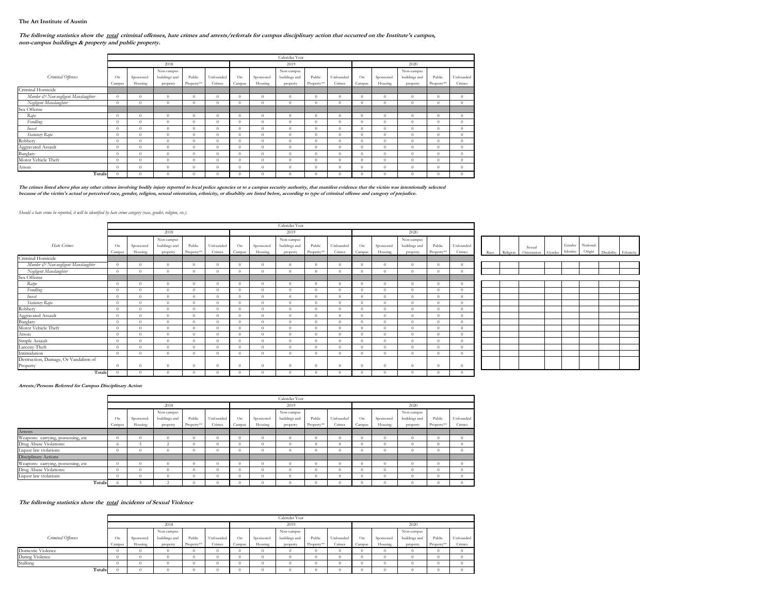#### **The Art Institute of Austin**

#### The following statistics show the total criminal offenses, hate crimes and arrests/referrals for campus disciplinary action that occurred on the Institute's campus, **non-campus buildings & property and public property.**

|                                     |                | Calendar Year |               |            |           |                |           |               |            |           |          |           |               |            |           |
|-------------------------------------|----------------|---------------|---------------|------------|-----------|----------------|-----------|---------------|------------|-----------|----------|-----------|---------------|------------|-----------|
|                                     |                |               | 2018          |            |           | 2019           |           |               |            |           | 2020     |           |               |            |           |
|                                     |                |               | Non-campus    |            |           |                |           | Non-campus    |            |           |          |           | Non-campus    |            |           |
| Criminal Offenses                   | O <sub>n</sub> | Sponsored     | buildings and | Public     | Unfounded | O <sub>n</sub> | Sponsored | buildings and | Public     | Unfounded | On       | Sponsored | buildings and | Public     | Unfounded |
|                                     | Campus         | Housing       | property      | Property** | Crimes    | Campus         | Housing   | property      | Property** | Crimes    | Campus   | Housing   | property      | Property** | Crimes    |
| Criminal Homicide                   |                |               |               |            |           |                |           |               |            |           |          |           |               |            |           |
| Murder & Non-negligent Manslaughter | $\theta$       | $\theta$      | $\theta$      | 0          | $\Omega$  | $\theta$       | $\Omega$  | $\theta$      | $\theta$   | $\Omega$  | $\theta$ | $\theta$  | $\theta$      | $\Omega$   | $\theta$  |
| Negligent Manslaughter              | $\theta$       | $\Omega$      | $\Omega$      | $\Omega$   | $\Omega$  | $\Omega$       | $\Omega$  | $\theta$      | 0.         | $\Omega$  | $\Omega$ | $\Omega$  | $\theta$      | $\Omega$   | $\Omega$  |
| Sex Offense                         |                |               |               |            |           |                |           |               |            |           |          |           |               |            |           |
| Rape                                | $\Omega$       | $\theta$      | $\theta$      | 0          | $\Omega$  | $\Omega$       | $\Omega$  | $\Omega$      | $\Omega$   | $\Omega$  | $\theta$ | $\Omega$  | $\Omega$      | $\Omega$   | $\theta$  |
| Fondling                            | $\Omega$       | $\theta$      | $\theta$      | $\Omega$   | $\Omega$  | $\Omega$       | $\Omega$  | $\theta$      | $\Omega$   | $\Omega$  | $\Omega$ | $\Omega$  | $\theta$      | $\Omega$   | $\theta$  |
| Incest                              | $\Omega$       | $\Omega$      | $\Omega$      | $\Omega$   | $\Omega$  | $\Omega$       | $\Omega$  | $\Omega$      | $\Omega$   | $\Omega$  | $\Omega$ | $\Omega$  | $\Omega$      | $\Omega$   | $\Omega$  |
| Statutory Rape                      | $\Omega$       | $\Omega$      | $\theta$      | $\Omega$   | $\Omega$  | $\Omega$       | $\Omega$  | $\Omega$      | 0.         | $\Omega$  | $\Omega$ | $\Omega$  | $\theta$      | $\Omega$   | $\theta$  |
| Robbery                             | $\theta$       | $\theta$      | $\theta$      | $\Omega$   | $\Omega$  | $\Omega$       | $\theta$  | $\theta$      | $\Omega$   | $\Omega$  | $\Omega$ | $\theta$  | $\theta$      | $\Omega$   | $\Omega$  |
| Aggravated Assault                  | $\Omega$       | $\Omega$      | $\Omega$      | 0          | $\Omega$  | $\Omega$       | $\Omega$  | $\theta$      | $\Omega$   | $\Omega$  | $\Omega$ | $\theta$  | $\theta$      | $\Omega$   | $\Omega$  |
| Burglary                            | $\theta$       | $\theta$      | $\Omega$      | $\Omega$   | $\Omega$  | $\Omega$       | $\Omega$  | $\Omega$      | $\Omega$   | $\Omega$  | $\Omega$ | $\Omega$  | $\theta$      | $\Omega$   | $\Omega$  |
| Motor Vehicle Theft                 | $\Omega$       | $\theta$      | $\theta$      | $\Omega$   | $\Omega$  | 0              | $\Omega$  | $\Omega$      | 0          | $\Omega$  | $\Omega$ | $\Omega$  | $\Omega$      | $\Omega$   | $\Omega$  |
| Arson                               | $\Omega$       | $\theta$      | $\theta$      | $\Omega$   | $\Omega$  | $\Omega$       | $\Omega$  | $\Omega$      | 0          | $\Omega$  | $\Omega$ | $\Omega$  | $\Omega$      | $\Omega$   | $\theta$  |
| Totals                              | $\theta$       | $\theta$      | $\Omega$      | 0          | 0         | $\Omega$       |           | $\Omega$      | 0          |           | $\Omega$ | $\Omega$  | $\Omega$      | 0          | $\theta$  |

The crimes listed above plus any other crimes involving bodily injury reported to local police agencies or to a campus security authority, that manifest evidence that the victim was intentionally selected<br>because of the vi

#### *Should a hate crime be reported, it will be identified by hate crime category (race, gender, religion, etc.).*

|                                      |          |           |               |            |            |          |           | Calendar Year |            |           |          |           |               |            |           |      |          |                    |          |                 |            |
|--------------------------------------|----------|-----------|---------------|------------|------------|----------|-----------|---------------|------------|-----------|----------|-----------|---------------|------------|-----------|------|----------|--------------------|----------|-----------------|------------|
|                                      |          |           | 2018          |            |            |          |           | 2019          |            |           |          |           | 2020          |            |           |      |          |                    |          |                 |            |
|                                      |          |           | Non-campus    |            |            |          |           | Non-campus    |            |           |          |           | Non-campus    |            |           |      |          |                    |          |                 |            |
| Hate Crimes                          | On       | Sponsored | buildings and | Public     | Unfounded  | On       | Sponsored | buildings and | Public     | Unfounded | On       | Sponsored | buildings and | Public     | Unfounded |      |          | Sexual             |          | Gender National |            |
|                                      | Campus   | Housing   | property      | Property** | Crimes     | Campus   | Housing   | property      | Property** | Crimes    | Campus   | Housing   | property      | Property** | Crimes    | Race | Religion | Orientation Gender | Identity | Origin          | Disability |
| Criminal Homicide                    |          |           |               |            |            |          |           |               |            |           |          |           |               |            |           |      |          |                    |          |                 |            |
| Murder & Non-negligent Manslaughter  | $\theta$ |           | $\Omega$      |            | $\Omega$   | $\Omega$ |           |               | $\Omega$   |           |          | $\Omega$  | $\Omega$      | $\Omega$   |           |      |          |                    |          |                 |            |
| Negligent Manslaughter               | $\theta$ |           | $\Omega$      |            | £0         | $\Omega$ |           |               | $\Omega$   |           |          | $\Omega$  | $\Omega$      | $\Omega$   |           |      |          |                    |          |                 |            |
| Sex Offense                          |          |           |               |            |            |          |           |               |            |           |          |           |               |            |           |      |          |                    |          |                 |            |
| Ratpe                                | $\theta$ |           | $\Omega$      |            | $\Omega$   | $\theta$ | $\Omega$  |               | $\Omega$   |           | $\Omega$ | $\Omega$  |               | $\Omega$   |           |      |          |                    |          |                 |            |
| Fondling                             | $\theta$ |           | $\Omega$      |            | £0         | $\Omega$ |           |               | $\Omega$   |           |          | $\Omega$  |               | $\Omega$   |           |      |          |                    |          |                 |            |
| Incest                               | $\theta$ |           | $\Omega$      |            | $\Omega$   | $\Omega$ | $\Omega$  | $\Omega$      | $\Omega$   |           |          | $\Omega$  | $\Omega$      | $\Omega$   | $\Omega$  |      |          |                    |          |                 |            |
| Statutory Rape                       | $\theta$ |           | $\Omega$      |            | $\Omega$   | $\Omega$ |           |               | $\Omega$   |           |          | $\Omega$  |               | $\Omega$   |           |      |          |                    |          |                 |            |
| Robbery                              | $\theta$ |           | $\Omega$      |            | £0         | $\Omega$ |           |               | $\Omega$   |           |          | $\Omega$  |               | $\sqrt{2}$ |           |      |          |                    |          |                 |            |
| Aggravated Assault                   | $\theta$ |           | $\Omega$      |            | £0         | $\Omega$ |           |               | $\Omega$   |           |          | $\Omega$  |               | $\sqrt{ }$ |           |      |          |                    |          |                 |            |
| Burglary                             | $\theta$ |           | $\Omega$      |            | £0         | $\Omega$ |           |               | $\Omega$   |           |          | $\Omega$  |               | $\Omega$   |           |      |          |                    |          |                 |            |
| Motor Vehicle Theft                  | $\theta$ |           | $\Omega$      |            | Ð          | $\Omega$ |           |               | $\Omega$   |           |          | $\Omega$  |               | $\sqrt{2}$ |           |      |          |                    |          |                 |            |
| Arson                                | $\theta$ |           | $\Omega$      |            | O          | $\Omega$ |           |               | $\Omega$   |           |          | $\Omega$  |               | $\Omega$   |           |      |          |                    |          |                 |            |
| Simple Assault                       | $\theta$ |           | $\Omega$      |            | $\Omega$   | $\Omega$ |           | n             | $\Omega$   |           |          | $\Omega$  | $\Omega$      | $\Omega$   | $\Omega$  |      |          |                    |          |                 |            |
| Larceny-Theft                        | $\theta$ |           | $\Omega$      |            | O          | $\Omega$ |           |               | $\Omega$   |           |          | $\Omega$  |               | $\Omega$   |           |      |          |                    |          |                 |            |
| Intimidation                         | $\theta$ |           | $\Omega$      |            | £0         | $\Omega$ |           |               | $\Omega$   |           |          | $\Omega$  |               | $\Omega$   |           |      |          |                    |          |                 |            |
| Destruction, Damage, Or Vandalism of |          |           |               |            |            |          |           |               |            |           |          |           |               |            |           |      |          |                    |          |                 |            |
| Property                             | $\theta$ |           | $\theta$      | $\Omega$   | $\Omega$   | $\theta$ | $\Omega$  | $\Omega$      | $\Omega$   | $\Omega$  | $\Omega$ | $\Omega$  | $\Omega$      | $\Omega$   | $\Omega$  |      |          |                    |          |                 |            |
| Totals                               | $\theta$ |           | 0             |            | $\sqrt{ }$ | $\theta$ |           |               | $\Omega$   |           |          | $\Omega$  |               | $\Omega$   |           |      |          |                    |          |                 |            |

Ethnicity

#### **Arrests/Persons Referred for Campus Disciplinary Action**

|                                    |                | Calendar Year |               |            |           |        |           |               |            |           |          |            |               |            |           |
|------------------------------------|----------------|---------------|---------------|------------|-----------|--------|-----------|---------------|------------|-----------|----------|------------|---------------|------------|-----------|
|                                    |                |               | 2018          |            |           | 2019   |           |               |            |           | 2020     |            |               |            |           |
|                                    | Non-campus     |               |               |            |           |        |           | Non-campus    |            |           |          |            | Non-campus    |            |           |
|                                    | O <sub>n</sub> | Sponsored     | buildings and | Public     | Unfounded | On     | Sponsored | buildings and | Public     | Unfounded | On       | Sponsored  | buildings and | Public     | Unfounded |
|                                    | Campus         | Housing       | property      | Property** | Crimes    | Campus | Housing   | property      | Property** | Crimes    | Campus   | Housing    | property      | Property** | Crimes    |
| Arrests                            |                |               |               |            |           |        |           |               |            |           |          |            |               |            |           |
| Weapons: carrying, possessing, etc |                | $\Omega$      |               | $\Omega$   | $\Omega$  |        |           |               | 0          |           |          | $\Omega$   |               | $\Omega$   |           |
| Drug Abuse Violations:             | Ð              |               |               | $\theta$   | $\Omega$  |        |           |               | 0          |           |          | $\Omega$   |               | $\Omega$   |           |
| Liquor law violations              | 0              | $\theta$      |               | $\theta$   | $\Omega$  |        |           |               | $\Omega$   | $\theta$  |          | $\Omega$   |               | $\Omega$   |           |
| Disciplinary Actions               |                |               |               |            |           |        |           |               |            |           |          |            |               |            |           |
| Weapons: carrying, possessing, etc |                | $\Omega$      |               | 0          |           |        |           |               | 0          |           | n        | $\Omega$   |               | $\Omega$   |           |
| Drug Abuse Violations:             | $\Omega$       | $\theta$      |               | $\Omega$   | $\Omega$  |        |           |               | $\Omega$   | $\Omega$  |          | $\Omega$   |               | $\Omega$   |           |
| Liquor law violations              | ю              | $\theta$      |               | $\theta$   | $\Omega$  |        |           |               | $\Omega$   | $\Omega$  | $\cdots$ | $\Omega$   |               | $\Omega$   |           |
| Totals                             |                |               |               | $\Omega$   |           |        |           |               |            |           |          | $^{\circ}$ |               |            |           |

#### The following statistics show the total incidents of Sexual Violence

|                   |                | Calendar Year |               |            |           |          |           |               |            |           |        |           |               |            |           |  |
|-------------------|----------------|---------------|---------------|------------|-----------|----------|-----------|---------------|------------|-----------|--------|-----------|---------------|------------|-----------|--|
|                   | 2018           |               |               |            |           | 2019     |           |               |            |           | 2020   |           |               |            |           |  |
|                   |                |               | Non-campus    |            |           |          |           | Non-campus    |            |           |        |           | Non-campus    |            |           |  |
| Criminal Offenses | O <sub>n</sub> | Sponsored     | buildings and | Public     | Unfounded | On       | Sponsored | buildings and | Public     | Unfounded | On     | Sponsored | buildings and | Public     | Unfounded |  |
|                   | Campus         | Housing       | property      | Property** | Crimes    | Campus   | Housing   | property      | Property** | Crimes    | Campus | Housing   | property      | Property** | Crimes    |  |
| Domestic Violence |                |               |               | 0.         | 0         |          | 0         | ٠             |            |           |        |           |               |            |           |  |
| Dating Violence   |                |               |               | 0.         | 0         |          | 0         |               |            |           |        |           |               |            |           |  |
| Stalking          |                |               |               |            | 0         | $\Omega$ | 0         |               |            |           |        |           |               |            |           |  |
| Totals            |                |               |               |            | 0         | $\theta$ | 0         |               |            | Ω.        |        |           |               |            |           |  |